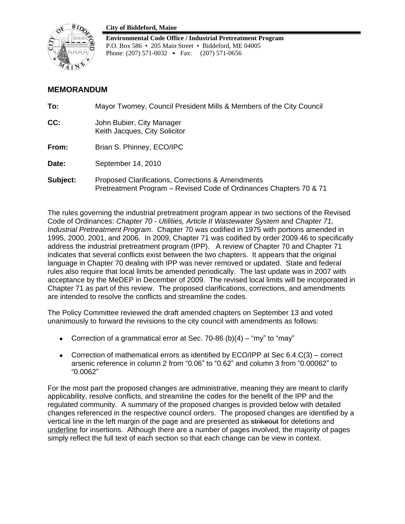#### **City of Biddeford, Maine**



**Environmental Code Office / Industrial Pretreatment Program** P.O. Box 586 • 205 Main Street • Biddeford, ME 04005 Phone: (207) 571-0032 • Fax: (207) 571-0656

# **MEMORANDUM**

| To:      | Mayor Twomey, Council President Mills & Members of the City Council                                                     |
|----------|-------------------------------------------------------------------------------------------------------------------------|
| CC:      | John Bubier, City Manager<br>Keith Jacques, City Solicitor                                                              |
| From:    | Brian S. Phinney, ECO/IPC                                                                                               |
| Date:    | September 14, 2010                                                                                                      |
| Subject: | Proposed Clarifications, Corrections & Amendments<br>Pretreatment Program – Revised Code of Ordinances Chapters 70 & 71 |

The rules governing the industrial pretreatment program appear in two sections of the Revised Code of Ordinances: *Chapter 70 - Utilities, Article II Wastewater System* and *Chapter 71, Industrial Pretreatment Program*. Chapter 70 was codified in 1975 with portions amended in 1995, 2000, 2001, and 2006. In 2009, Chapter 71 was codified by order 2009.46 to specifically address the industrial pretreatment program (IPP). A review of Chapter 70 and Chapter 71 indicates that several conflicts exist between the two chapters. It appears that the original language in Chapter 70 dealing with IPP was never removed or updated. State and federal rules also require that local limits be amended periodically. The last update was in 2007 with acceptance by the MeDEP in December of 2009. The revised local limits will be incorporated in Chapter 71 as part of this review. The proposed clarifications, corrections, and amendments are intended to resolve the conflicts and streamline the codes.

The Policy Committee reviewed the draft amended chapters on September 13 and voted unanimously to forward the revisions to the city council with amendments as follows:

- Correction of a grammatical error at Sec. 70-86 (b)(4) "my" to "may"
- Correction of mathematical errors as identified by ECO/IPP at Sec 6.4.C(3) correct arsenic reference in column 2 from "0.06" to "0.62" and column 3 from "0.00062" to "0.0062"

For the most part the proposed changes are administrative, meaning they are meant to clarify applicability, resolve conflicts, and streamline the codes for the benefit of the IPP and the regulated community. A summary of the proposed changes is provided below with detailed changes referenced in the respective council orders. The proposed changes are identified by a vertical line in the left margin of the page and are presented as strikeout for deletions and underline for insertions. Although there are a number of pages involved, the majority of pages simply reflect the full text of each section so that each change can be view in context.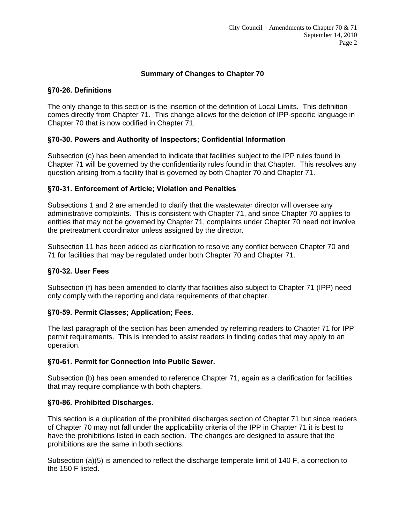# **Summary of Changes to Chapter 70**

# **§70-26. Definitions**

The only change to this section is the insertion of the definition of Local Limits. This definition comes directly from Chapter 71. This change allows for the deletion of IPP-specific language in Chapter 70 that is now codified in Chapter 71.

# **§70-30. Powers and Authority of Inspectors; Confidential Information**

Subsection (c) has been amended to indicate that facilities subject to the IPP rules found in Chapter 71 will be governed by the confidentiality rules found in that Chapter. This resolves any question arising from a facility that is governed by both Chapter 70 and Chapter 71.

## **§70-31. Enforcement of Article; Violation and Penalties**

Subsections 1 and 2 are amended to clarify that the wastewater director will oversee any administrative complaints. This is consistent with Chapter 71, and since Chapter 70 applies to entities that may not be governed by Chapter 71, complaints under Chapter 70 need not involve the pretreatment coordinator unless assigned by the director.

Subsection 11 has been added as clarification to resolve any conflict between Chapter 70 and 71 for facilities that may be regulated under both Chapter 70 and Chapter 71.

## **§70-32. User Fees**

Subsection (f) has been amended to clarify that facilities also subject to Chapter 71 (IPP) need only comply with the reporting and data requirements of that chapter.

## **§70-59. Permit Classes; Application; Fees.**

The last paragraph of the section has been amended by referring readers to Chapter 71 for IPP permit requirements. This is intended to assist readers in finding codes that may apply to an operation.

# **§70-61. Permit for Connection into Public Sewer.**

Subsection (b) has been amended to reference Chapter 71, again as a clarification for facilities that may require compliance with both chapters.

# **§70-86. Prohibited Discharges.**

This section is a duplication of the prohibited discharges section of Chapter 71 but since readers of Chapter 70 may not fall under the applicability criteria of the IPP in Chapter 71 it is best to have the prohibitions listed in each section. The changes are designed to assure that the prohibitions are the same in both sections.

Subsection (a)(5) is amended to reflect the discharge temperate limit of 140 F, a correction to the 150 F listed.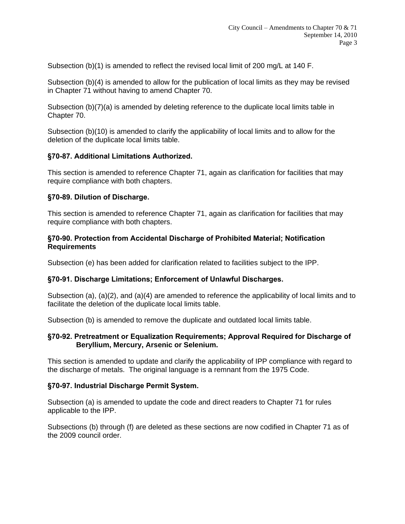Subsection (b)(1) is amended to reflect the revised local limit of 200 mg/L at 140 F.

Subsection (b)(4) is amended to allow for the publication of local limits as they may be revised in Chapter 71 without having to amend Chapter 70.

Subsection (b)(7)(a) is amended by deleting reference to the duplicate local limits table in Chapter 70.

Subsection (b)(10) is amended to clarify the applicability of local limits and to allow for the deletion of the duplicate local limits table.

## **§70-87. Additional Limitations Authorized.**

This section is amended to reference Chapter 71, again as clarification for facilities that may require compliance with both chapters.

#### **§70-89. Dilution of Discharge.**

This section is amended to reference Chapter 71, again as clarification for facilities that may require compliance with both chapters.

#### **§70-90. Protection from Accidental Discharge of Prohibited Material; Notification Requirements**

Subsection (e) has been added for clarification related to facilities subject to the IPP.

## **§70-91. Discharge Limitations; Enforcement of Unlawful Discharges.**

Subsection (a), (a)(2), and (a)(4) are amended to reference the applicability of local limits and to facilitate the deletion of the duplicate local limits table.

Subsection (b) is amended to remove the duplicate and outdated local limits table.

#### **§70-92. Pretreatment or Equalization Requirements; Approval Required for Discharge of Beryllium, Mercury, Arsenic or Selenium.**

This section is amended to update and clarify the applicability of IPP compliance with regard to the discharge of metals. The original language is a remnant from the 1975 Code.

## **§70-97. Industrial Discharge Permit System.**

Subsection (a) is amended to update the code and direct readers to Chapter 71 for rules applicable to the IPP.

Subsections (b) through (f) are deleted as these sections are now codified in Chapter 71 as of the 2009 council order.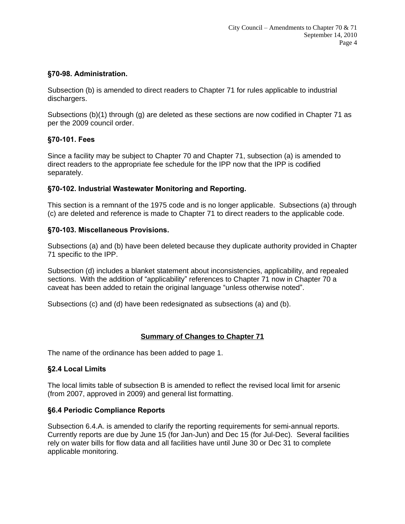# **§70-98. Administration.**

Subsection (b) is amended to direct readers to Chapter 71 for rules applicable to industrial dischargers.

Subsections (b)(1) through (g) are deleted as these sections are now codified in Chapter 71 as per the 2009 council order.

## **§70-101. Fees**

Since a facility may be subject to Chapter 70 and Chapter 71, subsection (a) is amended to direct readers to the appropriate fee schedule for the IPP now that the IPP is codified separately.

## **§70-102. Industrial Wastewater Monitoring and Reporting.**

This section is a remnant of the 1975 code and is no longer applicable. Subsections (a) through (c) are deleted and reference is made to Chapter 71 to direct readers to the applicable code.

## **§70-103. Miscellaneous Provisions.**

Subsections (a) and (b) have been deleted because they duplicate authority provided in Chapter 71 specific to the IPP.

Subsection (d) includes a blanket statement about inconsistencies, applicability, and repealed sections. With the addition of "applicability" references to Chapter 71 now in Chapter 70 a caveat has been added to retain the original language "unless otherwise noted".

Subsections (c) and (d) have been redesignated as subsections (a) and (b).

# **Summary of Changes to Chapter 71**

The name of the ordinance has been added to page 1.

## **§2.4 Local Limits**

The local limits table of subsection B is amended to reflect the revised local limit for arsenic (from 2007, approved in 2009) and general list formatting.

## **§6.4 Periodic Compliance Reports**

Subsection 6.4.A. is amended to clarify the reporting requirements for semi-annual reports. Currently reports are due by June 15 (for Jan-Jun) and Dec 15 (for Jul-Dec). Several facilities rely on water bills for flow data and all facilities have until June 30 or Dec 31 to complete applicable monitoring.